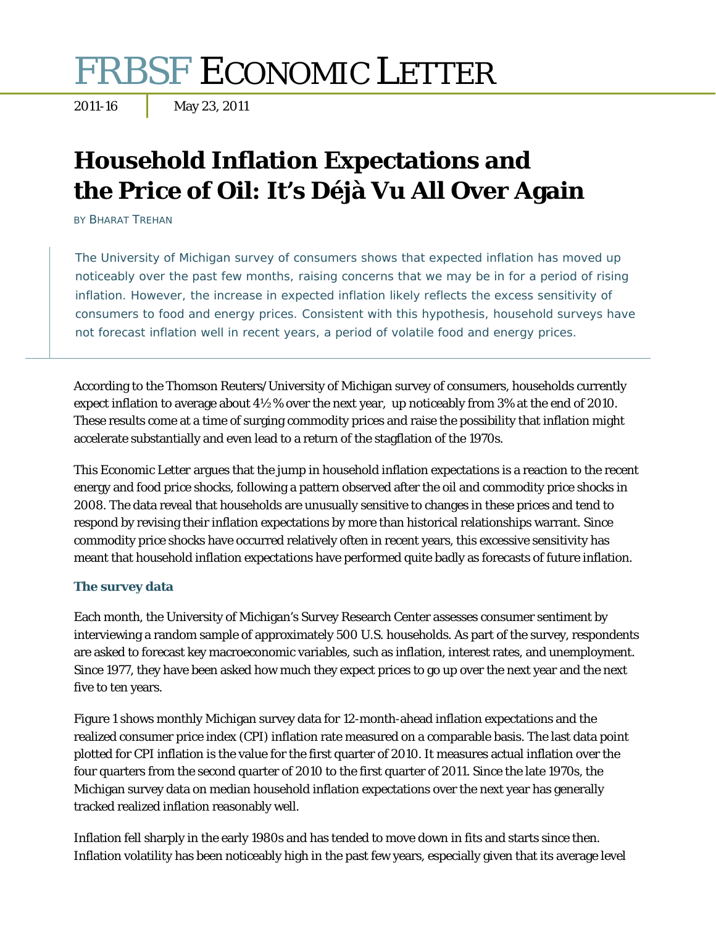# FRBSF ECONOMIC LETTER

## **Household Inflation Expectations and the Price of Oil: It's Déjà Vu All Over Again**

BY BHARAT TREHAN

The University of Michigan survey of consumers shows that expected inflation has moved up noticeably over the past few months, raising concerns that we may be in for a period of rising inflation. However, the increase in expected inflation likely reflects the excess sensitivity of consumers to food and energy prices. Consistent with this hypothesis, household surveys have not forecast inflation well in recent years, a period of volatile food and energy prices.

According to the Thomson Reuters/University of Michigan survey of consumers, households currently expect inflation to average about  $4\frac{1}{2}$ % over the next year, up noticeably from 3% at the end of 2010. These results come at a time of surging commodity prices and raise the possibility that inflation might accelerate substantially and even lead to a return of the stagflation of the 1970s.

This *Economic Letter* argues that the jump in household inflation expectations is a reaction to the recent energy and food price shocks, following a pattern observed after the oil and commodity price shocks in 2008. The data reveal that households are unusually sensitive to changes in these prices and tend to respond by revising their inflation expectations by more than historical relationships warrant. Since commodity price shocks have occurred relatively often in recent years, this excessive sensitivity has meant that household inflation expectations have performed quite badly as forecasts of future inflation.

#### **The survey data**

Each month, the University of Michigan's Survey Research Center assesses consumer sentiment by interviewing a random sample of approximately 500 U.S. households. As part of the survey, respondents are asked to forecast key macroeconomic variables, such as inflation, interest rates, and unemployment. Since 1977, they have been asked how much they expect prices to go up over the next year and the next five to ten years.

Figure 1 shows monthly Michigan survey data for 12-month-ahead inflation expectations and the realized consumer price index (CPI) inflation rate measured on a comparable basis. The last data point plotted for CPI inflation is the value for the first quarter of 2010. It measures actual inflation over the four quarters from the second quarter of 2010 to the first quarter of 2011. Since the late 1970s, the Michigan survey data on median household inflation expectations over the next year has generally tracked realized inflation reasonably well.

Inflation fell sharply in the early 1980s and has tended to move down in fits and starts since then. Inflation volatility has been noticeably high in the past few years, especially given that its average level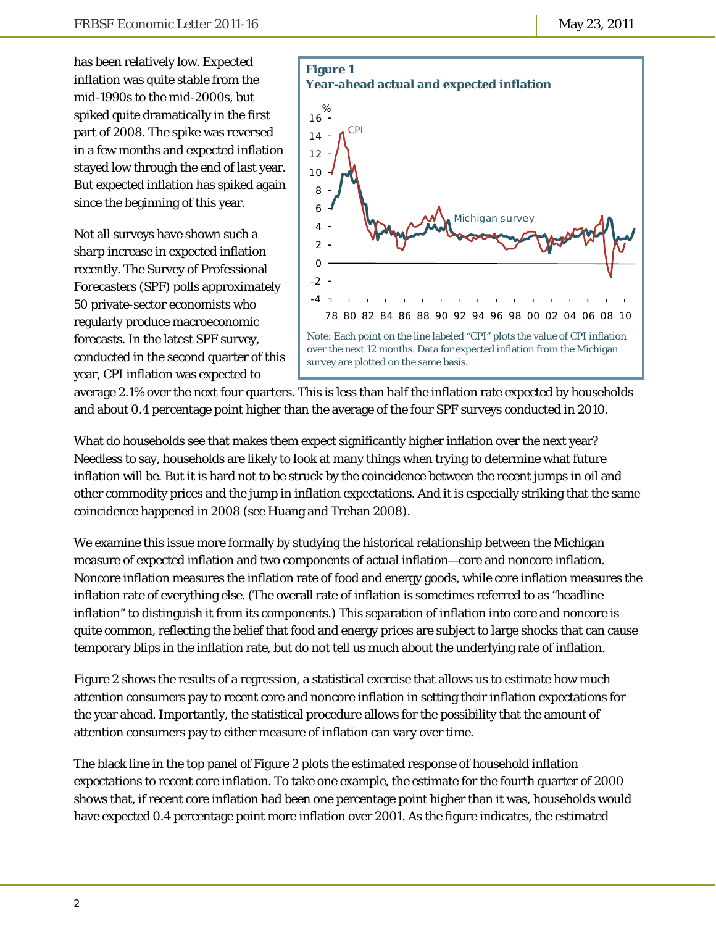has been relatively low. Expected inflation was quite stable from the mid-1990s to the mid-2000s, but spiked quite dramatically in the first part of 2008. The spike was reversed in a few months and expected inflation stayed low through the end of last year. But expected inflation has spiked again since the beginning of this year.

Not all surveys have shown such a sharp increase in expected inflation recently. The Survey of Professional Forecasters (SPF) polls approximately 50 private-sector economists who regularly produce macroeconomic forecasts. In the latest SPF survey, conducted in the second quarter of this year, CPI inflation was expected to



average 2.1% over the next four quarters. This is less than half the inflation rate expected by households and about 0.4 percentage point higher than the average of the four SPF surveys conducted in 2010.

What do households see that makes them expect significantly higher inflation over the next year? Needless to say, households are likely to look at many things when trying to determine what future inflation will be. But it is hard not to be struck by the coincidence between the recent jumps in oil and other commodity prices and the jump in inflation expectations. And it is especially striking that the same coincidence happened in 2008 (see Huang and Trehan 2008).

We examine this issue more formally by studying the historical relationship between the Michigan measure of expected inflation and two components of actual inflation—core and noncore inflation. Noncore inflation measures the inflation rate of food and energy goods, while core inflation measures the inflation rate of everything else. (The overall rate of inflation is sometimes referred to as "headline inflation" to distinguish it from its components.) This separation of inflation into core and noncore is quite common, reflecting the belief that food and energy prices are subject to large shocks that can cause temporary blips in the inflation rate, but do not tell us much about the underlying rate of inflation.

Figure 2 shows the results of a regression, a statistical exercise that allows us to estimate how much attention consumers pay to recent core and noncore inflation in setting their inflation expectations for the year ahead. Importantly, the statistical procedure allows for the possibility that the amount of attention consumers pay to either measure of inflation can vary over time.

The black line in the top panel of Figure 2 plots the estimated response of household inflation expectations to recent core inflation. To take one example, the estimate for the fourth quarter of 2000 shows that, if recent core inflation had been one percentage point higher than it was, households would have expected 0.4 percentage point more inflation over 2001. As the figure indicates, the estimated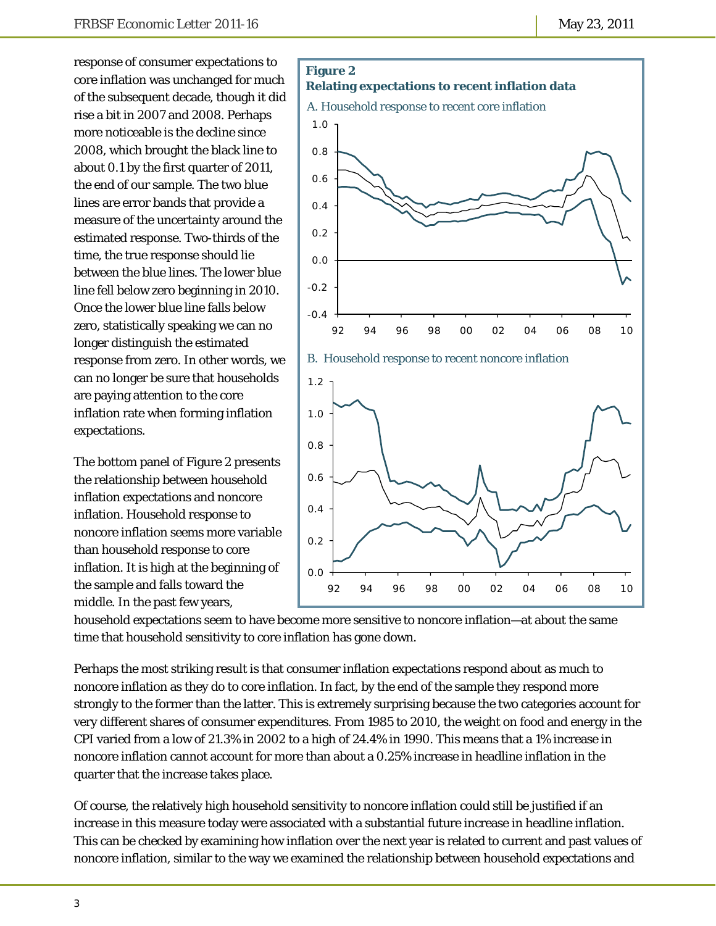response of consumer expectations to core inflation was unchanged for much of the subsequent decade, though it did rise a bit in 2007 and 2008. Perhaps more noticeable is the decline since 2008, which brought the black line to about 0.1 by the first quarter of 2011, the end of our sample. The two blue lines are error bands that provide a measure of the uncertainty around the estimated response. Two-thirds of the time, the true response should lie between the blue lines. The lower blue line fell below zero beginning in 2010. Once the lower blue line falls below zero, statistically speaking we can no longer distinguish the estimated response from zero. In other words, we can no longer be sure that households are paying attention to the core inflation rate when forming inflation expectations.

The bottom panel of Figure 2 presents the relationship between household inflation expectations and noncore inflation. Household response to noncore inflation seems more variable than household response to core inflation. It is high at the beginning of the sample and falls toward the middle. In the past few years,



household expectations seem to have become more sensitive to noncore inflation—at about the same time that household sensitivity to core inflation has gone down.

Perhaps the most striking result is that consumer inflation expectations respond about as much to noncore inflation as they do to core inflation. In fact, by the end of the sample they respond more strongly to the former than the latter. This is extremely surprising because the two categories account for very different shares of consumer expenditures. From 1985 to 2010, the weight on food and energy in the CPI varied from a low of 21.3% in 2002 to a high of 24.4% in 1990. This means that a 1% increase in noncore inflation cannot account for more than about a 0.25% increase in headline inflation in the quarter that the increase takes place.

Of course, the relatively high household sensitivity to noncore inflation could still be justified if an increase in this measure today were associated with a substantial future increase in headline inflation. This can be checked by examining how inflation over the next year is related to current and past values of noncore inflation, similar to the way we examined the relationship between household expectations and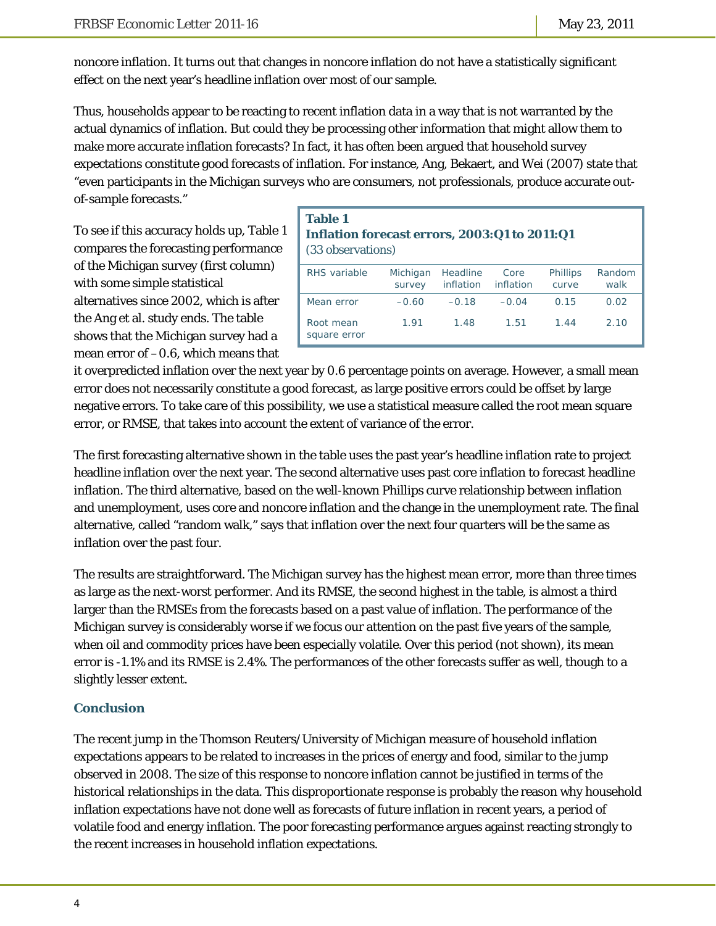noncore inflation. It turns out that changes in noncore inflation do not have a statistically significant effect on the next year's headline inflation over most of our sample.

Thus, households appear to be reacting to recent inflation data in a way that is not warranted by the actual dynamics of inflation. But could they be processing other information that might allow them to make more accurate inflation forecasts? In fact, it has often been argued that household survey expectations constitute good forecasts of inflation. For instance, Ang, Bekaert, and Wei (2007) state that "even participants in the Michigan surveys who are consumers, not professionals, produce accurate outof-sample forecasts."

To see if this accuracy holds up, Table 1 compares the forecasting performance of the Michigan survey (first column) with some simple statistical alternatives since 2002, which is after the Ang et al. study ends. The table shows that the Michigan survey had a mean error of –0.6, which means that

#### **Table 1 Inflation forecast errors, 2003:Q1 to 2011:Q1**  (33 observations)

| RHS variable              | Michigan<br>survey | Headline<br>inflation | Core<br>inflation | <b>Phillips</b><br>curve | Random<br>walk |
|---------------------------|--------------------|-----------------------|-------------------|--------------------------|----------------|
| Mean error                | $-0.60$            | $-0.18$               | $-0.04$           | 0.15                     | 0.02           |
| Root mean<br>square error | 1.91               | 1.48                  | 1.51              | 1.44                     | 2.10           |

it overpredicted inflation over the next year by 0.6 percentage points on average. However, a small mean error does not necessarily constitute a good forecast, as large positive errors could be offset by large negative errors. To take care of this possibility, we use a statistical measure called the root mean square error, or RMSE, that takes into account the extent of variance of the error.

The first forecasting alternative shown in the table uses the past year's headline inflation rate to project headline inflation over the next year. The second alternative uses past core inflation to forecast headline inflation. The third alternative, based on the well-known Phillips curve relationship between inflation and unemployment, uses core and noncore inflation and the change in the unemployment rate. The final alternative, called "random walk," says that inflation over the next four quarters will be the same as inflation over the past four.

The results are straightforward. The Michigan survey has the highest mean error, more than three times as large as the next-worst performer. And its RMSE, the second highest in the table, is almost a third larger than the RMSEs from the forecasts based on a past value of inflation. The performance of the Michigan survey is considerably worse if we focus our attention on the past five years of the sample, when oil and commodity prices have been especially volatile. Over this period (not shown), its mean error is -1.1% and its RMSE is 2.4%. The performances of the other forecasts suffer as well, though to a slightly lesser extent.

### **Conclusion**

The recent jump in the Thomson Reuters/University of Michigan measure of household inflation expectations appears to be related to increases in the prices of energy and food, similar to the jump observed in 2008. The size of this response to noncore inflation cannot be justified in terms of the historical relationships in the data. This disproportionate response is probably the reason why household inflation expectations have not done well as forecasts of future inflation in recent years, a period of volatile food and energy inflation. The poor forecasting performance argues against reacting strongly to the recent increases in household inflation expectations.